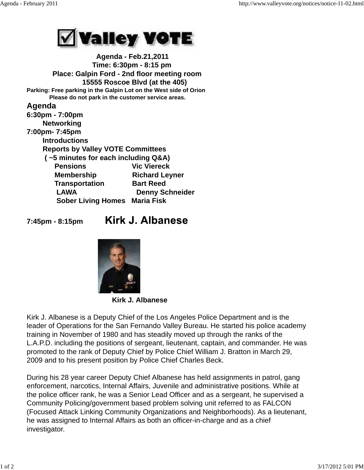

 **Agenda - Feb.21,2011 Time: 6:30pm - 8:15 pm Place: Galpin Ford - 2nd floor meeting room 15555 Roscoe Blvd (at the 405) Parking: Free parking in the Galpin Lot on the West side of Orion Please do not park in the customer service areas. Agenda 6:30pm - 7:00pm Networking 7:00pm- 7:45pm Introductions Reports by Valley VOTE Committees ( ~5 minutes for each including Q&A) Pensions Vic Viereck Membership Richard Leyner Transportation Bart Reed** LAWA Denny Schneider  **Sober Living Homes Maria Fisk**

**7:45pm - 8:15pm** 

## **Kirk J. Albanese**



 **Kirk J. Albanese**

Kirk J. Albanese is a Deputy Chief of the Los Angeles Police Department and is the leader of Operations for the San Fernando Valley Bureau. He started his police academy training in November of 1980 and has steadily moved up through the ranks of the L.A.P.D. including the positions of sergeant, lieutenant, captain, and commander. He was promoted to the rank of Deputy Chief by Police Chief William J. Bratton in March 29, 2009 and to his present position by Police Chief Charles Beck.

During his 28 year career Deputy Chief Albanese has held assignments in patrol, gang enforcement, narcotics, Internal Affairs, Juvenile and administrative positions. While at the police officer rank, he was a Senior Lead Officer and as a sergeant, he supervised a Community Policing/government based problem solving unit referred to as FALCON (Focused Attack Linking Community Organizations and Neighborhoods). As a lieutenant, he was assigned to Internal Affairs as both an officer-in-charge and as a chief investigator.